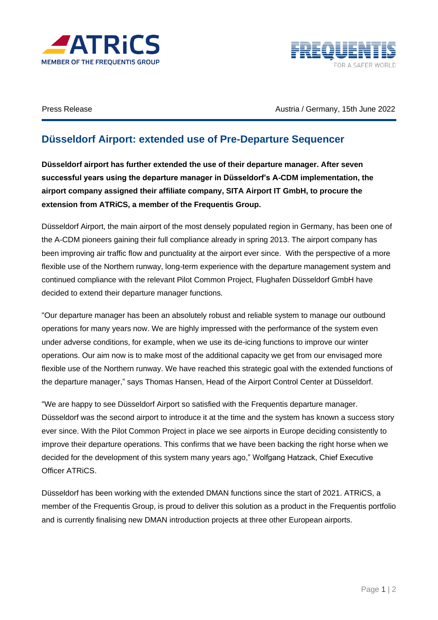



Press Release **Austria / Germany, 15th June 2022** 

## **Düsseldorf Airport: extended use of Pre-Departure Sequencer**

**Düsseldorf airport has further extended the use of their departure manager. After seven successful years using the departure manager in Düsseldorf's A-CDM implementation, the airport company assigned their affiliate company, SITA Airport IT GmbH, to procure the extension from ATRiCS, a member of the Frequentis Group.** 

Düsseldorf Airport, the main airport of the most densely populated region in Germany, has been one of the A-CDM pioneers gaining their full compliance already in spring 2013. The airport company has been improving air traffic flow and punctuality at the airport ever since. With the perspective of a more flexible use of the Northern runway, long-term experience with the departure management system and continued compliance with the relevant Pilot Common Project, Flughafen Düsseldorf GmbH have decided to extend their departure manager functions.

"Our departure manager has been an absolutely robust and reliable system to manage our outbound operations for many years now. We are highly impressed with the performance of the system even under adverse conditions, for example, when we use its de-icing functions to improve our winter operations. Our aim now is to make most of the additional capacity we get from our envisaged more flexible use of the Northern runway. We have reached this strategic goal with the extended functions of the departure manager," says Thomas Hansen, Head of the Airport Control Center at Düsseldorf.

"We are happy to see Düsseldorf Airport so satisfied with the Frequentis departure manager. Düsseldorf was the second airport to introduce it at the time and the system has known a success story ever since. With the Pilot Common Project in place we see airports in Europe deciding consistently to improve their departure operations. This confirms that we have been backing the right horse when we decided for the development of this system many years ago," Wolfgang Hatzack, Chief Executive Officer ATRiCS.

Düsseldorf has been working with the extended DMAN functions since the start of 2021. ATRiCS, a member of the Frequentis Group, is proud to deliver this solution as a product in the Frequentis portfolio and is currently finalising new DMAN introduction projects at three other European airports.